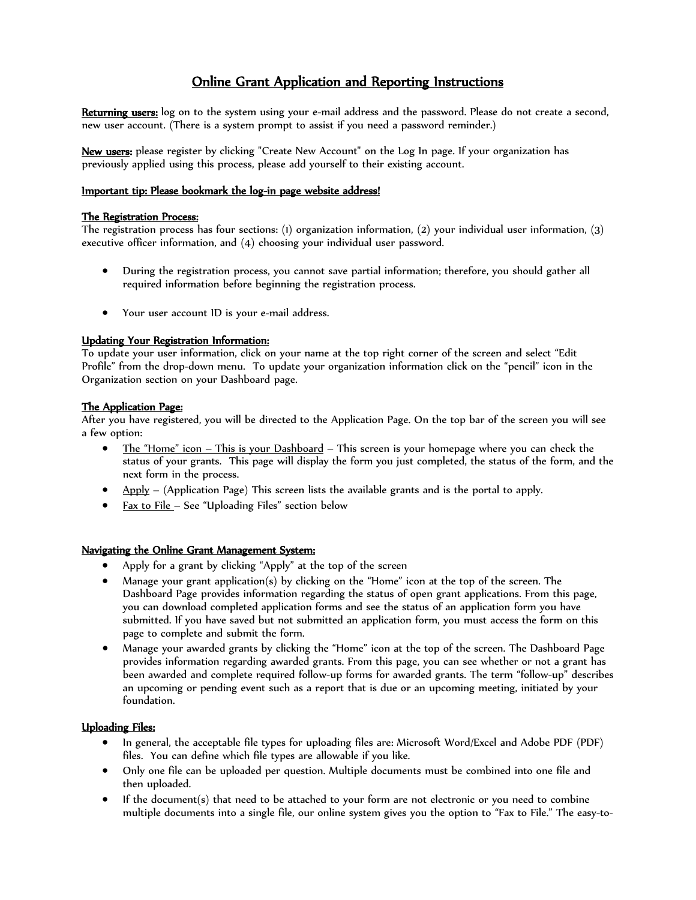# Online Grant Application and Reporting Instructions

Returning users: log on to the system using your e-mail address and the password. Please do not create a second, new user account. (There is a system prompt to assist if you need a password reminder.)

New users: please register by clicking "Create New Account" on the Log In page. If your organization has previously applied using this process, please add yourself to their existing account.

## Important tip: Please bookmark the log-in page website address!

#### The Registration Process:

The registration process has four sections: (1) organization information, (2) your individual user information, (3) executive officer information, and (4) choosing your individual user password.

- During the registration process, you cannot save partial information; therefore, you should gather all required information before beginning the registration process.
- Your user account ID is your e-mail address.

### Updating Your Registration Information:

To update your user information, click on your name at the top right corner of the screen and select "Edit Profile" from the drop-down menu. To update your organization information click on the "pencil" icon in the Organization section on your Dashboard page.

### The Application Page:

After you have registered, you will be directed to the Application Page. On the top bar of the screen you will see a few option:

- The "Home" icon This is your Dashboard This screen is your homepage where you can check the status of your grants. This page will display the form you just completed, the status of the form, and the next form in the process.
- Apply (Application Page) This screen lists the available grants and is the portal to apply.
- Fax to File See "Uploading Files" section below

#### Navigating the Online Grant Management System:

- Apply for a grant by clicking "Apply" at the top of the screen
- Manage your grant application(s) by clicking on the "Home" icon at the top of the screen. The Dashboard Page provides information regarding the status of open grant applications. From this page, you can download completed application forms and see the status of an application form you have submitted. If you have saved but not submitted an application form, you must access the form on this page to complete and submit the form.
- Manage your awarded grants by clicking the "Home" icon at the top of the screen. The Dashboard Page provides information regarding awarded grants. From this page, you can see whether or not a grant has been awarded and complete required follow-up forms for awarded grants. The term "follow-up" describes an upcoming or pending event such as a report that is due or an upcoming meeting, initiated by your foundation.

## Uploading Files:

- In general, the acceptable file types for uploading files are: Microsoft Word/Excel and Adobe PDF (PDF) files. You can define which file types are allowable if you like.
- Only one file can be uploaded per question. Multiple documents must be combined into one file and then uploaded.
- If the document(s) that need to be attached to your form are not electronic or you need to combine multiple documents into a single file, our online system gives you the option to "Fax to File." The easy-to-